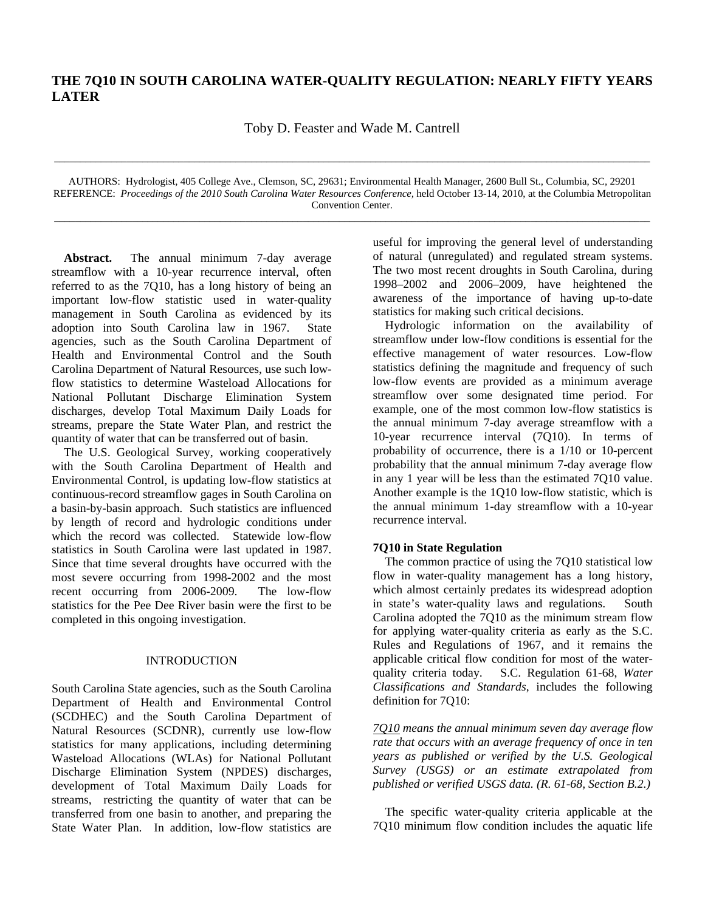# **THE 7Q10 IN SOUTH CAROLINA WATER-QUALITY REGULATION: NEARLY FIFTY YEARS LATER**

Toby D. Feaster and Wade M. Cantrell

AUTHORS: Hydrologist, 405 College Ave., Clemson, SC, 29631; Environmental Health Manager, 2600 Bull St., Columbia, SC, 29201 REFERENCE: *Proceedings of the 2010 South Carolina Water Resources Conference,* held October 13-14, 2010, at the Columbia Metropolitan Convention Center.

\_\_\_\_\_\_\_\_\_\_\_\_\_\_\_\_\_\_\_\_\_\_\_\_\_\_\_\_\_\_\_\_\_\_\_\_\_\_\_\_\_\_\_\_\_\_\_\_\_\_\_\_\_\_\_\_\_\_\_\_\_\_\_\_\_\_\_\_\_\_\_\_\_\_\_\_\_\_\_\_\_\_\_\_\_\_\_\_\_\_\_\_\_\_\_\_\_\_\_\_\_\_\_\_\_\_\_\_\_\_\_\_\_\_\_

\_\_\_\_\_\_\_\_\_\_\_\_\_\_\_\_\_\_\_\_\_\_\_\_\_\_\_\_\_\_\_\_\_\_\_\_\_\_\_\_\_\_\_\_\_\_\_\_\_\_\_\_\_\_\_\_\_\_\_\_\_\_\_\_\_\_\_\_\_\_\_\_\_\_\_\_\_\_\_\_\_\_\_\_\_\_\_\_\_\_\_\_\_\_\_\_\_\_\_\_\_\_\_\_\_\_\_\_\_\_\_\_\_\_\_

 **Abstract.** The annual minimum 7-day average streamflow with a 10-year recurrence interval, often referred to as the 7Q10, has a long history of being an important low-flow statistic used in water-quality management in South Carolina as evidenced by its adoption into South Carolina law in 1967. State agencies, such as the South Carolina Department of Health and Environmental Control and the South Carolina Department of Natural Resources, use such lowflow statistics to determine Wasteload Allocations for National Pollutant Discharge Elimination System discharges, develop Total Maximum Daily Loads for streams, prepare the State Water Plan, and restrict the quantity of water that can be transferred out of basin.

 The U.S. Geological Survey, working cooperatively with the South Carolina Department of Health and Environmental Control, is updating low-flow statistics at continuous-record streamflow gages in South Carolina on a basin-by-basin approach. Such statistics are influenced by length of record and hydrologic conditions under which the record was collected. Statewide low-flow statistics in South Carolina were last updated in 1987. Since that time several droughts have occurred with the most severe occurring from 1998-2002 and the most recent occurring from 2006-2009. The low-flow statistics for the Pee Dee River basin were the first to be completed in this ongoing investigation.

# INTRODUCTION

South Carolina State agencies, such as the South Carolina Department of Health and Environmental Control (SCDHEC) and the South Carolina Department of Natural Resources (SCDNR), currently use low-flow statistics for many applications, including determining Wasteload Allocations (WLAs) for National Pollutant Discharge Elimination System (NPDES) discharges, development of Total Maximum Daily Loads for streams, restricting the quantity of water that can be transferred from one basin to another, and preparing the State Water Plan. In addition, low-flow statistics are

useful for improving the general level of understanding of natural (unregulated) and regulated stream systems. The two most recent droughts in South Carolina, during 1998–2002 and 2006–2009, have heightened the awareness of the importance of having up-to-date statistics for making such critical decisions.

 Hydrologic information on the availability of streamflow under low-flow conditions is essential for the effective management of water resources. Low-flow statistics defining the magnitude and frequency of such low-flow events are provided as a minimum average streamflow over some designated time period. For example, one of the most common low-flow statistics is the annual minimum 7-day average streamflow with a 10-year recurrence interval (7Q10). In terms of probability of occurrence, there is a 1/10 or 10-percent probability that the annual minimum 7-day average flow in any 1 year will be less than the estimated 7Q10 value. Another example is the 1Q10 low-flow statistic, which is the annual minimum 1-day streamflow with a 10-year recurrence interval.

#### **7Q10 in State Regulation**

 The common practice of using the 7Q10 statistical low flow in water-quality management has a long history, which almost certainly predates its widespread adoption in state's water-quality laws and regulations. South Carolina adopted the 7Q10 as the minimum stream flow for applying water-quality criteria as early as the S.C. Rules and Regulations of 1967, and it remains the applicable critical flow condition for most of the water-<br>quality criteria today. S.C. Regulation 61-68, Water S.C. Regulation 61-68, *Water Classifications and Standards*, includes the following definition for 7Q10:

*7Q10 means the annual minimum seven day average flow rate that occurs with an average frequency of once in ten years as published or verified by the U.S. Geological Survey (USGS) or an estimate extrapolated from published or verified USGS data. (R. 61-68, Section B.2.)* 

 The specific water-quality criteria applicable at the 7Q10 minimum flow condition includes the aquatic life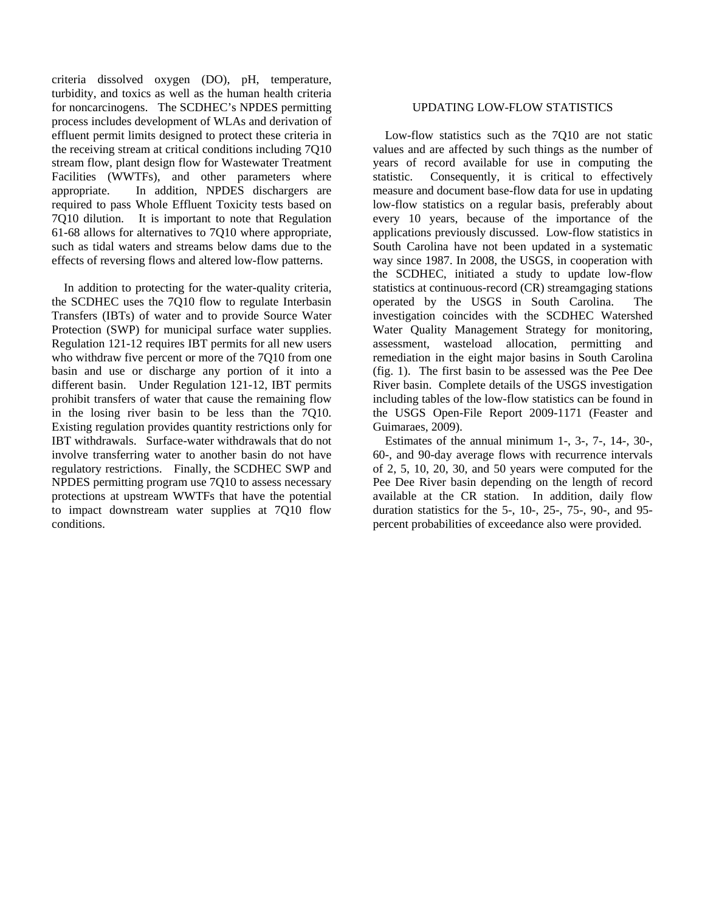criteria dissolved oxygen (DO), pH, temperature, turbidity, and toxics as well as the human health criteria for noncarcinogens. The SCDHEC's NPDES permitting process includes development of WLAs and derivation of effluent permit limits designed to protect these criteria in the receiving stream at critical conditions including 7Q10 stream flow, plant design flow for Wastewater Treatment Facilities (WWTFs), and other parameters where appropriate. In addition, NPDES dischargers are required to pass Whole Effluent Toxicity tests based on 7Q10 dilution. It is important to note that Regulation 61-68 allows for alternatives to 7Q10 where appropriate, such as tidal waters and streams below dams due to the effects of reversing flows and altered low-flow patterns.

 In addition to protecting for the water-quality criteria, the SCDHEC uses the 7Q10 flow to regulate Interbasin Transfers (IBTs) of water and to provide Source Water Protection (SWP) for municipal surface water supplies. Regulation 121-12 requires IBT permits for all new users who withdraw five percent or more of the 7Q10 from one basin and use or discharge any portion of it into a different basin. Under Regulation 121-12, IBT permits prohibit transfers of water that cause the remaining flow in the losing river basin to be less than the 7Q10. Existing regulation provides quantity restrictions only for IBT withdrawals. Surface-water withdrawals that do not involve transferring water to another basin do not have regulatory restrictions. Finally, the SCDHEC SWP and NPDES permitting program use 7Q10 to assess necessary protections at upstream WWTFs that have the potential to impact downstream water supplies at 7Q10 flow conditions.

### UPDATING LOW-FLOW STATISTICS

 Low-flow statistics such as the 7Q10 are not static values and are affected by such things as the number of years of record available for use in computing the statistic. Consequently, it is critical to effectively measure and document base-flow data for use in updating low-flow statistics on a regular basis, preferably about every 10 years, because of the importance of the applications previously discussed. Low-flow statistics in South Carolina have not been updated in a systematic way since 1987. In 2008, the USGS, in cooperation with the SCDHEC, initiated a study to update low-flow statistics at continuous-record (CR) streamgaging stations operated by the USGS in South Carolina. The investigation coincides with the SCDHEC Watershed Water Quality Management Strategy for monitoring, assessment, wasteload allocation, permitting and remediation in the eight major basins in South Carolina (fig. 1). The first basin to be assessed was the Pee Dee River basin. Complete details of the USGS investigation including tables of the low-flow statistics can be found in the USGS Open-File Report 2009-1171 (Feaster and Guimaraes, 2009).

 Estimates of the annual minimum 1-, 3-, 7-, 14-, 30-, 60-, and 90-day average flows with recurrence intervals of 2, 5, 10, 20, 30, and 50 years were computed for the Pee Dee River basin depending on the length of record available at the CR station. In addition, daily flow duration statistics for the 5-, 10-, 25-, 75-, 90-, and 95 percent probabilities of exceedance also were provided.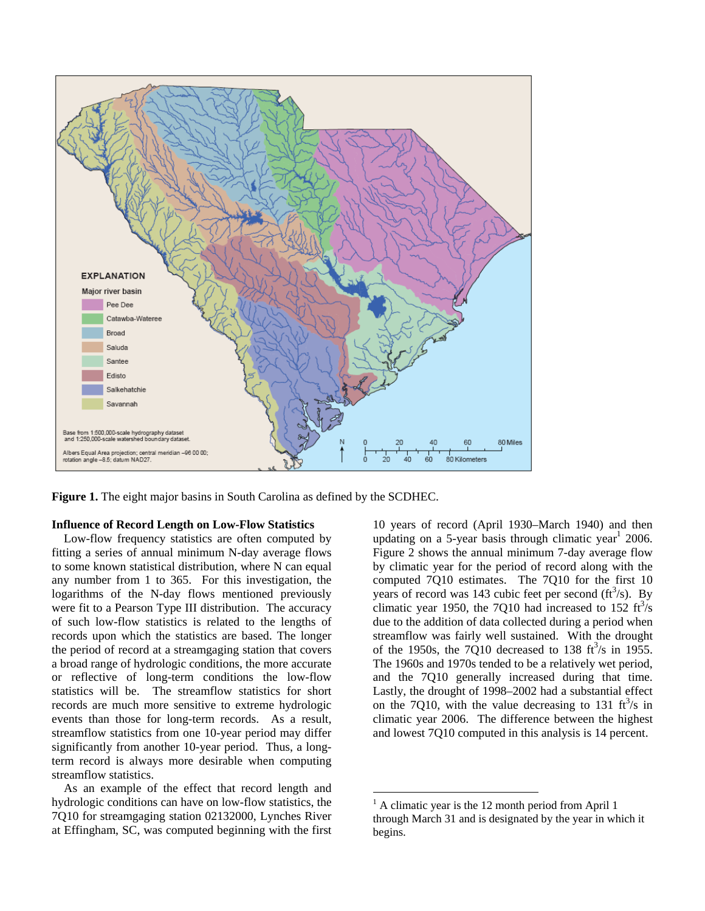

**Figure 1.** The eight major basins in South Carolina as defined by the SCDHEC.

## **Influence of Record Length on Low-Flow Statistics**

Low-flow frequency statistics are often computed by fitting a series of annual minimum N-day average flows to some known statistical distribution, where N can equal any number from 1 to 365. For this investigation, the logarithms of the N-day flows mentioned previously were fit to a Pearson Type III distribution. The accuracy of such low-flow statistics is related to the lengths of records upon which the statistics are based. The longer the period of record at a streamgaging station that covers a broad range of hydrologic conditions, the more accurate or reflective of long-term conditions the low-flow statistics will be. The streamflow statistics for short records are much more sensitive to extreme hydrologic events than those for long-term records. As a result, streamflow statistics from one 10-year period may differ significantly from another 10-year period. Thus, a longterm record is always more desirable when computing streamflow statistics.

 As an example of the effect that record length and hydrologic conditions can have on low-flow statistics, the 7Q10 for streamgaging station 02132000, Lynches River at Effingham, SC, was computed beginning with the first

10 years of record (April 1930–March 1940) and then updating on a 5-year basis through climatic year<sup>1</sup> 2006. Figure 2 shows the annual minimum 7-day average flow by climatic year for the period of record along with the computed 7Q10 estimates. The 7Q10 for the first 10 years of record was 143 cubic feet per second  $(ft^3/s)$ . By climatic year 1950, the 7Q10 had increased to  $152 \text{ ft}^3/\text{s}$ due to the addition of data collected during a period when streamflow was fairly well sustained. With the drought of the 1950s, the 7Q10 decreased to 138  $\text{ft}^3\text{/s}$  in 1955. The 1960s and 1970s tended to be a relatively wet period, and the 7Q10 generally increased during that time. Lastly, the drought of 1998–2002 had a substantial effect on the 7Q10, with the value decreasing to 131  $\text{ft}^3\text{/s}$  in climatic year 2006. The difference between the highest and lowest 7Q10 computed in this analysis is 14 percent.

 $\overline{a}$ 

<sup>&</sup>lt;sup>1</sup> A climatic year is the 12 month period from April 1 through March 31 and is designated by the year in which it begins.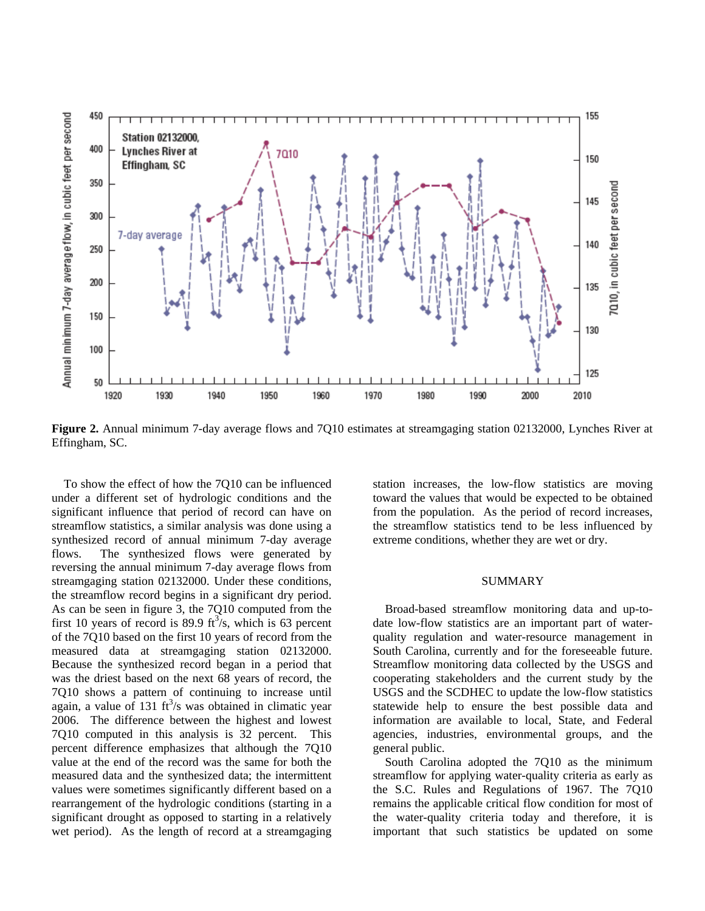

**Figure 2.** Annual minimum 7-day average flows and 7Q10 estimates at streamgaging station 02132000, Lynches River at Effingham, SC.

 To show the effect of how the 7Q10 can be influenced under a different set of hydrologic conditions and the significant influence that period of record can have on streamflow statistics, a similar analysis was done using a synthesized record of annual minimum 7-day average flows. The synthesized flows were generated by reversing the annual minimum 7-day average flows from streamgaging station 02132000. Under these conditions, the streamflow record begins in a significant dry period. As can be seen in figure 3, the 7Q10 computed from the first 10 years of record is 89.9  $\text{ft}^3\text{/s}$ , which is 63 percent of the 7Q10 based on the first 10 years of record from the measured data at streamgaging station 02132000. Because the synthesized record began in a period that was the driest based on the next 68 years of record, the 7Q10 shows a pattern of continuing to increase until again, a value of 131  $\text{ft}^3\text{/s}$  was obtained in climatic year 2006. The difference between the highest and lowest 7Q10 computed in this analysis is 32 percent. This percent difference emphasizes that although the 7Q10 value at the end of the record was the same for both the measured data and the synthesized data; the intermittent values were sometimes significantly different based on a rearrangement of the hydrologic conditions (starting in a significant drought as opposed to starting in a relatively wet period). As the length of record at a streamgaging

station increases, the low-flow statistics are moving toward the values that would be expected to be obtained from the population. As the period of record increases, the streamflow statistics tend to be less influenced by extreme conditions, whether they are wet or dry.

#### SUMMARY

 Broad-based streamflow monitoring data and up-todate low-flow statistics are an important part of waterquality regulation and water-resource management in South Carolina, currently and for the foreseeable future. Streamflow monitoring data collected by the USGS and cooperating stakeholders and the current study by the USGS and the SCDHEC to update the low-flow statistics statewide help to ensure the best possible data and information are available to local, State, and Federal agencies, industries, environmental groups, and the general public.

 South Carolina adopted the 7Q10 as the minimum streamflow for applying water-quality criteria as early as the S.C. Rules and Regulations of 1967. The 7Q10 remains the applicable critical flow condition for most of the water-quality criteria today and therefore, it is important that such statistics be updated on some